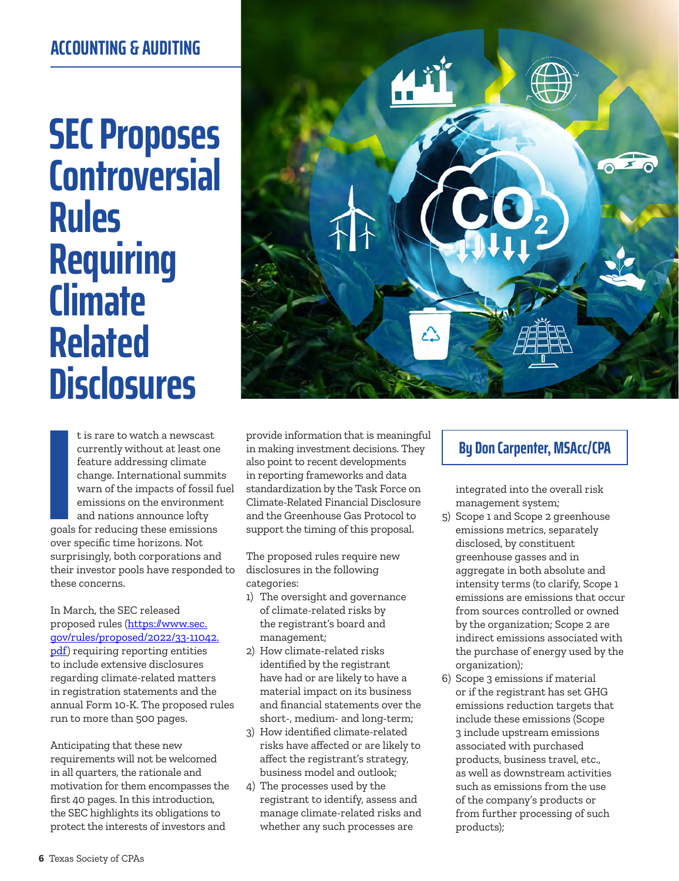## **ACCOUNTING & AUDITING**

## **SEC Proposes Controversial Rules Requiring Climate Related Disclosures**

t is rare to watch a newscast<br>
ourrently without at least one<br>
feature addressing climate<br>
feature addressing climate<br>
feature addressing climate<br>
also point to recent developments<br>
on the management system;<br>
on the impact t is rare to watch a newscast currently without at least one feature addressing climate change. International summits warn of the impacts of fossil fuel emissions on the environment and nations announce lofty goals for reducing these emissions over specific time horizons. Not surprisingly, both corporations and their investor pools have responded to these concerns.

In March, the SEC released proposed rules ([https://www.sec.](https://www.sec.gov/rules/proposed/2022/33-11042.pdf) [gov/rules/proposed/2022/33-11042.](https://www.sec.gov/rules/proposed/2022/33-11042.pdf) [pdf\)](https://www.sec.gov/rules/proposed/2022/33-11042.pdf) requiring reporting entities to include extensive disclosures regarding climate-related matters in registration statements and the annual Form 10-K. The proposed rules run to more than 500 pages.

Anticipating that these new requirements will not be welcomed in all quarters, the rationale and motivation for them encompasses the first 40 pages. In this introduction, the SEC highlights its obligations to protect the interests of investors and



provide information that is meaningful in making investment decisions. They also point to recent developments in reporting frameworks and data standardization by the Task Force on Climate-Related Financial Disclosure and the Greenhouse Gas Protocol to support the timing of this proposal.

The proposed rules require new disclosures in the following categories:

- 1) The oversight and governance of climate-related risks by the registrant's board and management;
- 2) How climate-related risks identified by the registrant have had or are likely to have a material impact on its business and financial statements over the short-, medium- and long-term;
- 3) How identified climate-related risks have affected or are likely to affect the registrant's strategy, business model and outlook;
- 4) The processes used by the registrant to identify, assess and manage climate-related risks and whether any such processes are

integrated into the overall risk management system;

- 5) Scope 1 and Scope 2 greenhouse emissions metrics, separately disclosed, by constituent greenhouse gasses and in aggregate in both absolute and intensity terms (to clarify, Scope 1 emissions are emissions that occur from sources controlled or owned by the organization; Scope 2 are indirect emissions associated with the purchase of energy used by the organization);
- 6) Scope 3 emissions if material or if the registrant has set GHG emissions reduction targets that include these emissions (Scope 3 include upstream emissions associated with purchased products, business travel, etc., as well as downstream activities such as emissions from the use of the company's products or from further processing of such products);